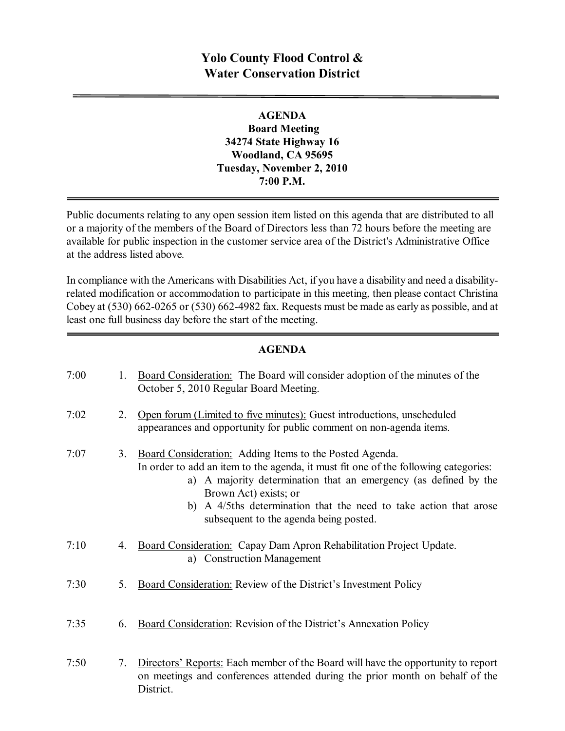## **Yolo County Flood Control & Water Conservation District**

## **AGENDA Board Meeting 34274 State Highway 16 Woodland, CA 95695 Tuesday, November 2, 2010 7:00 P.M.**

Public documents relating to any open session item listed on this agenda that are distributed to all or a majority of the members of the Board of Directors less than 72 hours before the meeting are available for public inspection in the customer service area of the District's Administrative Office at the address listed above*.*

In compliance with the Americans with Disabilities Act, if you have a disability and need a disabilityrelated modification or accommodation to participate in this meeting, then please contact Christina Cobey at  $(530)$  662-0265 or  $(530)$  662-4982 fax. Requests must be made as early as possible, and at least one full business day before the start of the meeting.

## **AGENDA**

| 7:00 | 1. | Board Consideration: The Board will consider adoption of the minutes of the<br>October 5, 2010 Regular Board Meeting.                                                                                                                                                                                                                                         |
|------|----|---------------------------------------------------------------------------------------------------------------------------------------------------------------------------------------------------------------------------------------------------------------------------------------------------------------------------------------------------------------|
| 7:02 | 2. | Open forum (Limited to five minutes): Guest introductions, unscheduled<br>appearances and opportunity for public comment on non-agenda items.                                                                                                                                                                                                                 |
| 7:07 | 3. | Board Consideration: Adding Items to the Posted Agenda.<br>In order to add an item to the agenda, it must fit one of the following categories:<br>a) A majority determination that an emergency (as defined by the<br>Brown Act) exists; or<br>A 4/5ths determination that the need to take action that arose<br>b)<br>subsequent to the agenda being posted. |
| 7:10 | 4. | Board Consideration: Capay Dam Apron Rehabilitation Project Update.<br>a) Construction Management                                                                                                                                                                                                                                                             |
| 7:30 | 5. | Board Consideration: Review of the District's Investment Policy                                                                                                                                                                                                                                                                                               |
| 7:35 | 6. | Board Consideration: Revision of the District's Annexation Policy                                                                                                                                                                                                                                                                                             |
| 7:50 | 7. | Directors' Reports: Each member of the Board will have the opportunity to report<br>on meetings and conferences attended during the prior month on behalf of the<br>District.                                                                                                                                                                                 |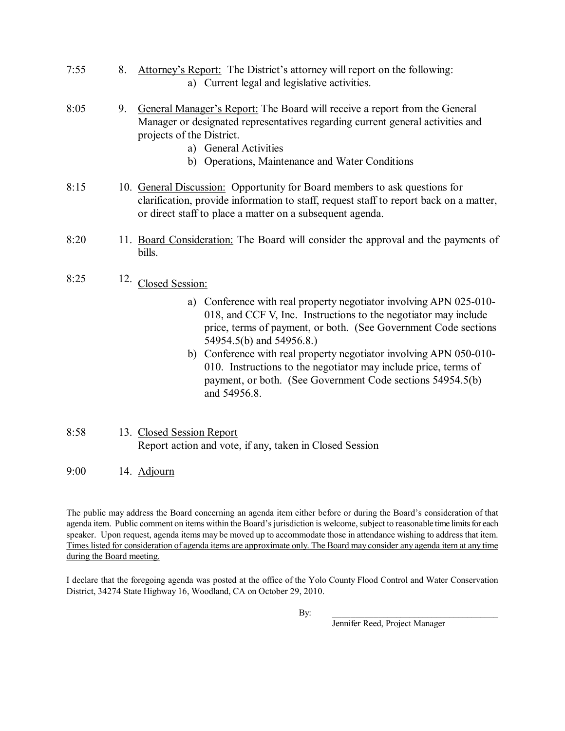7:55 8. Attorney's Report: The District's attorney will report on the following: a) Current legal and legislative activities.

#### 8:05 9. General Manager's Report: The Board will receive a report from the General Manager or designated representatives regarding current general activities and projects of the District.

- a) General Activities
- b) Operations, Maintenance and Water Conditions
- 8:15 10. General Discussion: Opportunity for Board members to ask questions for clarification, provide information to staff, request staff to report back on a matter, or direct staff to place a matter on a subsequent agenda.
- 8:20 11. Board Consideration: The Board will consider the approval and the payments of bills.

# 8:25 12. Closed Session:

- a) Conference with real property negotiator involving APN  $025-010$ 018, and CCF V, Inc. Instructions to the negotiator may include price, terms of payment, or both. (See Government Code sections 54954.5(b) and 54956.8.)
- b) Conference with real property negotiator involving APN  $050-010$ -010. Instructions to the negotiator may include price, terms of payment, or both. (See Government Code sections 54954.5(b) and 54956.8.

#### 8:58 13. Closed Session Report Report action and vote, if any, taken in Closed Session

9:00 14. Adjourn

The public may address the Board concerning an agenda item either before or during the Board's consideration of that agenda item. Public comment on items within the Board's jurisdiction is welcome, subject to reasonable time limits for each speaker. Upon request, agenda items may be moved up to accommodate those in attendance wishing to address that item. Times listed for consideration of agenda items are approximate only. The Board may consider any agenda item at any time during the Board meeting.

I declare that the foregoing agenda was posted at the office of the Yolo County Flood Control and Water Conservation District, 34274 State Highway 16, Woodland, CA on October 29, 2010.

By: \_\_\_\_\_\_\_\_\_\_\_\_\_\_\_\_\_\_\_\_\_\_\_\_\_\_\_\_\_\_\_\_\_\_\_\_\_

Jennifer Reed, Project Manager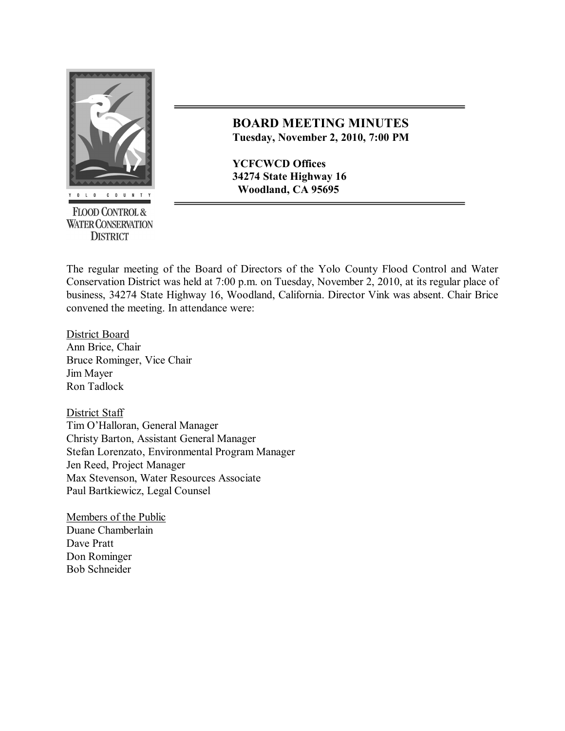

**FLOOD CONTROL & WATER CONSERVATION DISTRICT** 

## **BOARD MEETING MINUTES Tuesday, November 2, 2010, 7:00 PM**

**YCFCWCD Offices 34274 State Highway 16 Woodland, CA 95695**

The regular meeting of the Board of Directors of the Yolo County Flood Control and Water Conservation District was held at 7:00 p.m. on Tuesday, November 2, 2010, at its regular place of business, 34274 State Highway 16, Woodland, California. Director Vink was absent. Chair Brice convened the meeting. In attendance were:

District Board Ann Brice, Chair Bruce Rominger, Vice Chair Jim Mayer Ron Tadlock

District Staff Tim O'Halloran, General Manager Christy Barton, Assistant General Manager Stefan Lorenzato, Environmental Program Manager Jen Reed, Project Manager Max Stevenson, Water Resources Associate Paul Bartkiewicz, Legal Counsel

Members of the Public Duane Chamberlain Dave Pratt Don Rominger Bob Schneider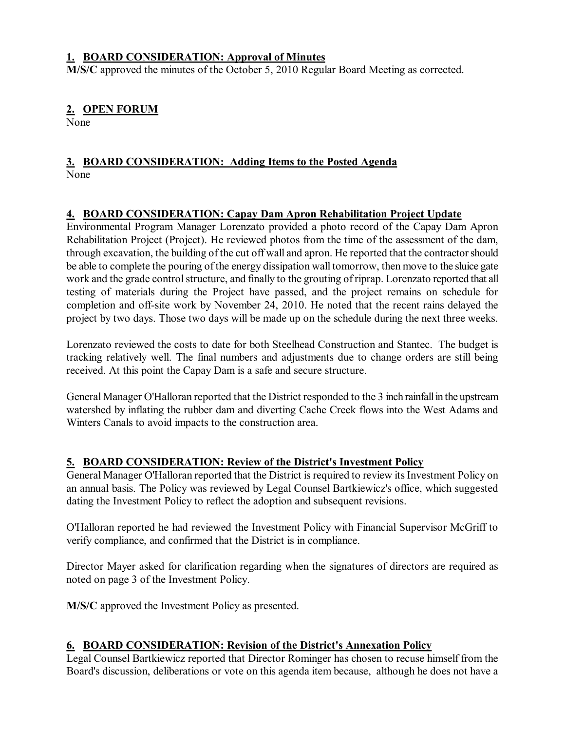## **1. BOARD CONSIDERATION: Approval of Minutes**

**M/S/C** approved the minutes of the October 5, 2010 Regular Board Meeting as corrected.

## **2. OPEN FORUM**

None

#### **3. BOARD CONSIDERATION: Adding Items to the Posted Agenda** None

## **4. BOARD CONSIDERATION: Capay Dam Apron Rehabilitation Project Update**

Environmental Program Manager Lorenzato provided a photo record of the Capay Dam Apron Rehabilitation Project (Project). He reviewed photos from the time of the assessment of the dam, through excavation, the building of the cut off wall and apron. He reported that the contractorshould be able to complete the pouring of the energy dissipation wall tomorrow, then move to the sluice gate work and the grade control structure, and finally to the grouting of riprap. Lorenzato reported that all testing of materials during the Project have passed, and the project remains on schedule for completion and off-site work by November 24, 2010. He noted that the recent rains delayed the project by two days. Those two days will be made up on the schedule during the next three weeks.

Lorenzato reviewed the costs to date for both Steelhead Construction and Stantec. The budget is tracking relatively well. The final numbers and adjustments due to change orders are still being received. At this point the Capay Dam is a safe and secure structure.

General Manager O'Halloran reported that the District responded to the 3 inch rainfallin the upstream watershed by inflating the rubber dam and diverting Cache Creek flows into the West Adams and Winters Canals to avoid impacts to the construction area.

## **5. BOARD CONSIDERATION: Review of the District's Investment Policy**

General Manager O'Halloran reported that the District is required to review its Investment Policy on an annual basis. The Policy was reviewed by Legal Counsel Bartkiewicz's office, which suggested dating the Investment Policy to reflect the adoption and subsequent revisions.

O'Halloran reported he had reviewed the Investment Policy with Financial Supervisor McGriff to verify compliance, and confirmed that the District is in compliance.

Director Mayer asked for clarification regarding when the signatures of directors are required as noted on page 3 of the Investment Policy.

**M/S/C** approved the Investment Policy as presented.

## **6. BOARD CONSIDERATION: Revision of the District's Annexation Policy**

Legal Counsel Bartkiewicz reported that Director Rominger has chosen to recuse himself from the Board's discussion, deliberations or vote on this agenda item because, although he does not have a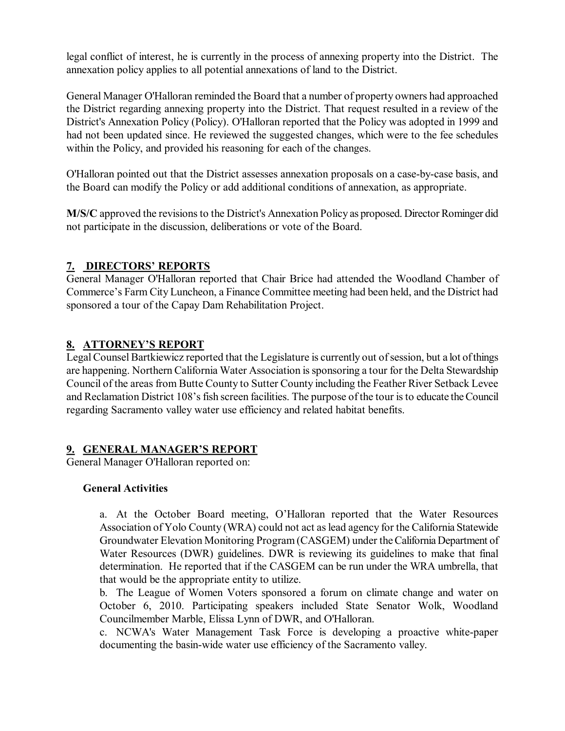legal conflict of interest, he is currently in the process of annexing property into the District. The annexation policy applies to all potential annexations of land to the District.

General Manager O'Halloran reminded the Board that a number of property owners had approached the District regarding annexing property into the District. That request resulted in a review of the District's Annexation Policy (Policy). O'Halloran reported that the Policy was adopted in 1999 and had not been updated since. He reviewed the suggested changes, which were to the fee schedules within the Policy, and provided his reasoning for each of the changes.

O'Halloran pointed out that the District assesses annexation proposals on a case-by-case basis, and the Board can modify the Policy or add additional conditions of annexation, as appropriate.

**M/S/C** approved the revisions to the District's Annexation Policy as proposed. Director Rominger did not participate in the discussion, deliberations or vote of the Board.

## **7. DIRECTORS' REPORTS**

General Manager O'Halloran reported that Chair Brice had attended the Woodland Chamber of Commerce's Farm City Luncheon, a Finance Committee meeting had been held, and the District had sponsored a tour of the Capay Dam Rehabilitation Project.

## **8. ATTORNEY'S REPORT**

Legal Counsel Bartkiewicz reported that the Legislature is currently out of session, but a lot of things are happening. Northern California Water Association is sponsoring a tour for the Delta Stewardship Council of the areas from Butte County to Sutter County including the Feather River Setback Levee and Reclamation District 108's fish screen facilities. The purpose of the tour is to educate the Council regarding Sacramento valley water use efficiency and related habitat benefits.

## **9. GENERAL MANAGER'S REPORT**

General Manager O'Halloran reported on:

## **General Activities**

a. At the October Board meeting, O'Halloran reported that the Water Resources Association of Yolo County (WRA) could not act as lead agency for the California Statewide Groundwater Elevation Monitoring Program (CASGEM) under theCalifornia Department of Water Resources (DWR) guidelines. DWR is reviewing its guidelines to make that final determination. He reported that if the CASGEM can be run under the WRA umbrella, that that would be the appropriate entity to utilize.

b. The League of Women Voters sponsored a forum on climate change and water on October 6, 2010. Participating speakers included State Senator Wolk, Woodland Councilmember Marble, Elissa Lynn of DWR, and O'Halloran.

c. NCWA's Water Management Task Force is developing a proactive white-paper documenting the basin-wide water use efficiency of the Sacramento valley.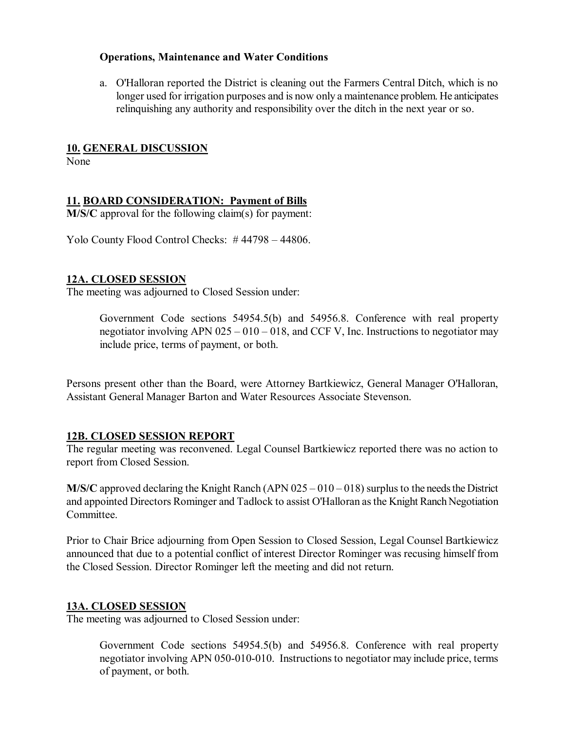#### **Operations, Maintenance and Water Conditions**

a. O'Halloran reported the District is cleaning out the Farmers Central Ditch, which is no longer used for irrigation purposes and is now only a maintenance problem. He anticipates relinquishing any authority and responsibility over the ditch in the next year or so.

#### **10. GENERAL DISCUSSION**

None

## **11. BOARD CONSIDERATION: Payment of Bills**

**M/S/C** approval for the following claim(s) for payment:

Yolo County Flood Control Checks: # 44798 – 44806.

#### **12A. CLOSED SESSION**

The meeting was adjourned to Closed Session under:

Government Code sections 54954.5(b) and 54956.8. Conference with real property negotiator involving APN  $025 - 010 - 018$ , and CCF V, Inc. Instructions to negotiator may include price, terms of payment, or both.

Persons present other than the Board, were Attorney Bartkiewicz, General Manager O'Halloran, Assistant General Manager Barton and Water Resources Associate Stevenson.

## **12B. CLOSED SESSION REPORT**

The regular meeting was reconvened. Legal Counsel Bartkiewicz reported there was no action to report from Closed Session.

**M/S/C** approved declaring the Knight Ranch (APN  $025 - 010 - 018$ ) surplus to the needs the District and appointed Directors Rominger and Tadlock to assist O'Halloran as the Knight Ranch Negotiation Committee.

Prior to Chair Brice adjourning from Open Session to Closed Session, Legal Counsel Bartkiewicz announced that due to a potential conflict of interest Director Rominger was recusing himself from the Closed Session. Director Rominger left the meeting and did not return.

#### **13A. CLOSED SESSION**

The meeting was adjourned to Closed Session under:

Government Code sections 54954.5(b) and 54956.8. Conference with real property negotiator involving APN 050-010-010. Instructions to negotiator may include price, terms of payment, or both.